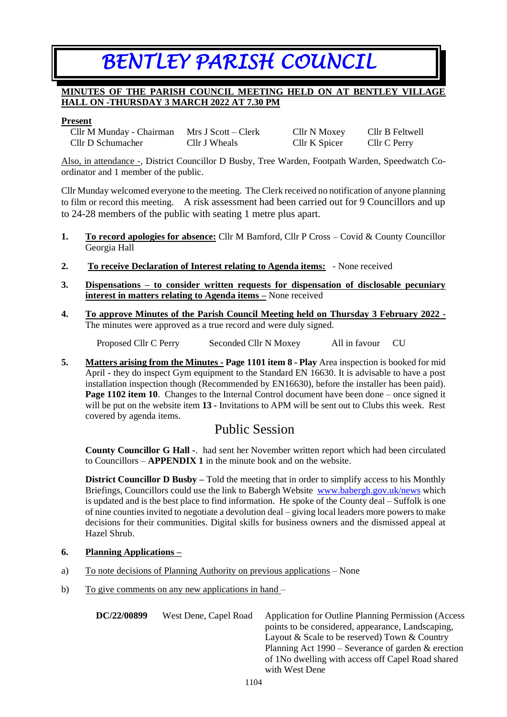# *BENTLEY PARISH COUNCIL*

## **MINUTES OF THE PARISH COUNCIL MEETING HELD ON AT BENTLEY VILLAGE HALL ON -THURSDAY 3 MARCH 2022 AT 7.30 PM**

#### **Present**

| Cllr M Munday - Chairman | $Mrs J Scott - Clerk$ |
|--------------------------|-----------------------|
| Cllr D Schumacher        | Cllr J Wheals         |

Cllr N Moxey – Cllr B Feltwell Cllr K Spicer Cllr C Perry

Also, in attendance -, District Councillor D Busby, Tree Warden, Footpath Warden, Speedwatch Coordinator and 1 member of the public.

Cllr Munday welcomed everyone to the meeting. The Clerk received no notification of anyone planning to film or record this meeting. A risk assessment had been carried out for 9 Councillors and up to 24-28 members of the public with seating 1 metre plus apart.

- **1. To record apologies for absence:** Cllr M Bamford, Cllr P Cross Covid & County Councillor Georgia Hall
- **2. To receive Declaration of Interest relating to Agenda items:** None received
- **3. Dispensations – to consider written requests for dispensation of disclosable pecuniary interest in matters relating to Agenda items –** None received
- **4. To approve Minutes of the Parish Council Meeting held on Thursday 3 February 2022 -** The minutes were approved as a true record and were duly signed.

Proposed Cllr C Perry Seconded Cllr N Moxey All in favour CU

**5. Matters arising from the Minutes - Page 1101 item 8 - Play** Area inspection is booked for mid April **-** they do inspect Gym equipment to the Standard EN 16630. It is advisable to have a post installation inspection though (Recommended by EN16630), before the installer has been paid). **Page 1102 item 10.** Changes to the Internal Control document have been done – once signed it will be put on the website item **13 -** Invitations to APM will be sent out to Clubs this week. Rest covered by agenda items.

# Public Session

**County Councillor G Hall -**. had sent her November written report which had been circulated to Councillors – **APPENDIX 1** in the minute book and on the website.

**District Councillor D Busby – Told the meeting that in order to simplify access to his Monthly** Briefings, Councillors could use the link to Babergh Website [www.babergh.gov.uk/news](http://www.babergh.gov.uk/news) which is updated and is the best place to find information. He spoke of the County deal – Suffolk is one of nine counties invited to negotiate a devolution deal – giving local leaders more powers to make decisions for their communities. Digital skills for business owners and the dismissed appeal at Hazel Shrub.

## **6. Planning Applications –**

- a) To note decisions of Planning Authority on previous applications None
- b) To give comments on any new applications in hand –

**DC/22/00899** West Dene, Capel Road Application for Outline Planning Permission (Access points to be considered, appearance, Landscaping, Layout & Scale to be reserved) Town & Country Planning Act 1990 – Severance of garden & erection of 1No dwelling with access off Capel Road shared with West Dene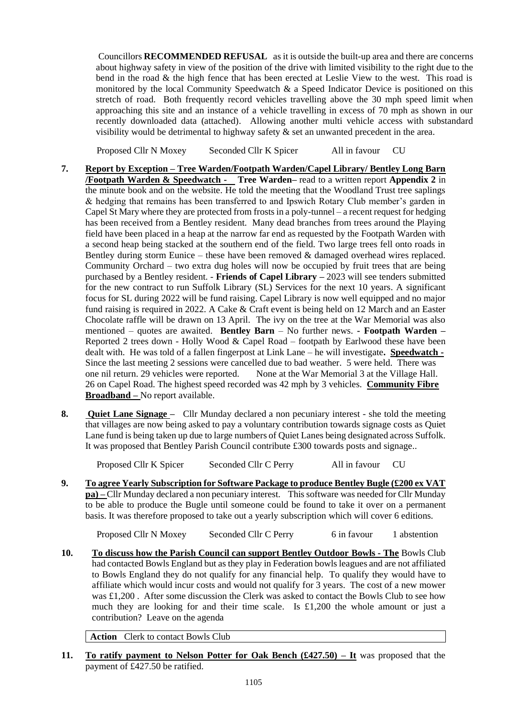Councillors **RECOMMENDED REFUSAL** as it is outside the built-up area and there are concerns about highway safety in view of the position of the drive with limited visibility to the right due to the bend in the road  $\&$  the high fence that has been erected at Leslie View to the west. This road is monitored by the local Community Speedwatch & a Speed Indicator Device is positioned on this stretch of road. Both frequently record vehicles travelling above the 30 mph speed limit when approaching this site and an instance of a vehicle travelling in excess of 70 mph as shown in our recently downloaded data (attached). Allowing another multi vehicle access with substandard visibility would be detrimental to highway safety  $\&$  set an unwanted precedent in the area.

Proposed Cllr N Moxey Seconded Cllr K Spicer All in favour CU

- **7. Report by Exception – Tree Warden/Footpath Warden/Capel Library/ Bentley Long Barn /Footpath Warden & Speedwatch - Tree Warden–** read to a written report **Appendix 2** in the minute book and on the website. He told the meeting that the Woodland Trust tree saplings & hedging that remains has been transferred to and Ipswich Rotary Club member's garden in Capel St Mary where they are protected from frosts in a poly-tunnel – a recent request for hedging has been received from a Bentley resident. Many dead branches from trees around the Playing field have been placed in a heap at the narrow far end as requested by the Footpath Warden with a second heap being stacked at the southern end of the field. Two large trees fell onto roads in Bentley during storm Eunice – these have been removed  $\&$  damaged overhead wires replaced. Community Orchard – two extra dug holes will now be occupied by fruit trees that are being purchased by a Bentley resident. - **Friends of Capel Library –** 2023 will see tenders submitted for the new contract to run Suffolk Library (SL) Services for the next 10 years. A significant focus for SL during 2022 will be fund raising. Capel Library is now well equipped and no major fund raising is required in 2022. A Cake & Craft event is being held on 12 March and an Easter Chocolate raffle will be drawn on 13 April. The ivy on the tree at the War Memorial was also mentioned – quotes are awaited. **Bentley Barn** – No further news. **- Footpath Warden –** Reported 2 trees down - Holly Wood & Capel Road – footpath by Earlwood these have been dealt with. He was told of a fallen fingerpost at Link Lane – he will investigate**. Speedwatch -** Since the last meeting 2 sessions were cancelled due to bad weather. 5 were held. There was one nil return. 29 vehicles were reported. None at the War Memorial 3 at the Village Hall. 26 on Capel Road. The highest speed recorded was 42 mph by 3 vehicles. **Community Fibre Broadband –** No report available.
- **8. Quiet Lane Signage** Cllr Munday declared a non pecuniary interest she told the meeting that villages are now being asked to pay a voluntary contribution towards signage costs as Quiet Lane fund is being taken up due to large numbers of Quiet Lanes being designated across Suffolk. It was proposed that Bentley Parish Council contribute £300 towards posts and signage..

Proposed Cllr K Spicer Seconded Cllr C Perry All in favour CU

**9. To agree Yearly Subscription for Software Package to produce Bentley Bugle (£200 ex VAT pa) –** Cllr Munday declared a non pecuniary interest. This software was needed for Cllr Munday to be able to produce the Bugle until someone could be found to take it over on a permanent basis. It was therefore proposed to take out a yearly subscription which will cover 6 editions.

Proposed Cllr N Moxey Seconded Cllr C Perry 6 in favour 1 abstention

**10. To discuss how the Parish Council can support Bentley Outdoor Bowls - The** Bowls Club had contacted Bowls England but as they play in Federation bowls leagues and are not affiliated to Bowls England they do not qualify for any financial help. To qualify they would have to affiliate which would incur costs and would not qualify for 3 years. The cost of a new mower was £1,200 . After some discussion the Clerk was asked to contact the Bowls Club to see how much they are looking for and their time scale. Is £1,200 the whole amount or just a contribution? Leave on the agenda

**Action** Clerk to contact Bowls Club

**11. To ratify payment to Nelson Potter for Oak Bench (£427.50) – It** was proposed that the payment of £427.50 be ratified.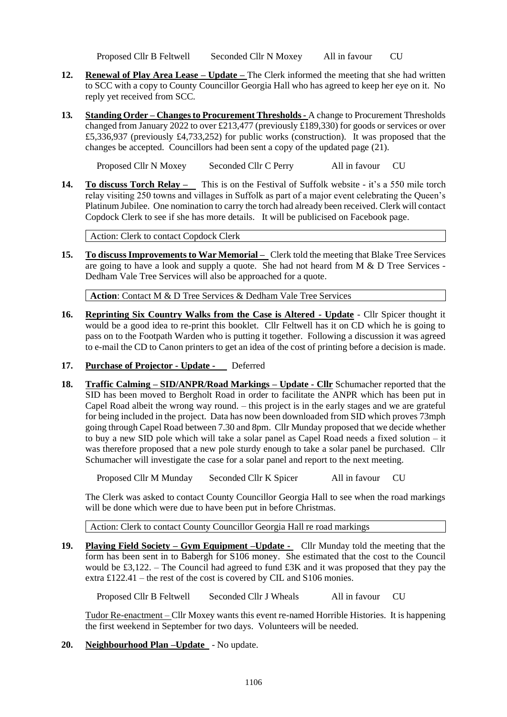Proposed Cllr B Feltwell Seconded Cllr N Moxey All in favour CU

- **12. Renewal of Play Area Lease – Update –** The Clerk informed the meeting that she had written to SCC with a copy to County Councillor Georgia Hall who has agreed to keep her eye on it. No reply yet received from SCC.
- **13***.* **Standing Order – Changes to Procurement Thresholds -** A change to Procurement Thresholds changed from January 2022 to over £213,477 (previously £189,330) for goods or services or over £5,336,937 (previously £4,733,252) for public works (construction). It was proposed that the changes be accepted. Councillors had been sent a copy of the updated page (21).

Proposed Cllr N Moxey Seconded Cllr C Perry All in favour CU

**14. To discuss Torch Relay –** This is on the Festival of Suffolk website - it's a 550 mile torch relay visiting 250 towns and villages in Suffolk as part of a major event celebrating the Queen's Platinum Jubilee. One nomination to carry the torch had already been received. Clerk will contact Copdock Clerk to see if she has more details. It will be publicised on Facebook page.

Action: Clerk to contact Copdock Clerk

**15. To discuss Improvements to War Memorial –** Clerk told the meeting that Blake Tree Services are going to have a look and supply a quote. She had not heard from M & D Tree Services - Dedham Vale Tree Services will also be approached for a quote.

**Action**: Contact M & D Tree Services & Dedham Vale Tree Services

- **16. Reprinting Six Country Walks from the Case is Altered - Update** Cllr Spicer thought it would be a good idea to re-print this booklet. Cllr Feltwell has it on CD which he is going to pass on to the Footpath Warden who is putting it together. Following a discussion it was agreed to e-mail the CD to Canon printers to get an idea of the cost of printing before a decision is made.
- **17. Purchase of Projector - Update** Deferred
- **18. Traffic Calming – SID/ANPR/Road Markings – Update - Cllr** Schumacher reported that the SID has been moved to Bergholt Road in order to facilitate the ANPR which has been put in Capel Road albeit the wrong way round. – this project is in the early stages and we are grateful for being included in the project. Data has now been downloaded from SID which proves 73mph going through Capel Road between 7.30 and 8pm. Cllr Munday proposed that we decide whether to buy a new SID pole which will take a solar panel as Capel Road needs a fixed solution – it was therefore proposed that a new pole sturdy enough to take a solar panel be purchased. Cllr Schumacher will investigate the case for a solar panel and report to the next meeting.

Proposed Cllr M Munday Seconded Cllr K Spicer All in favour CU

The Clerk was asked to contact County Councillor Georgia Hall to see when the road markings will be done which were due to have been put in before Christmas.

Action: Clerk to contact County Councillor Georgia Hall re road markings

**19. Playing Field Society – Gym Equipment –Update -** Cllr Munday told the meeting that the form has been sent in to Babergh for S106 money. She estimated that the cost to the Council would be £3,122. – The Council had agreed to fund £3K and it was proposed that they pay the extra £122.41 – the rest of the cost is covered by CIL and S106 monies.

Proposed Cllr B Feltwell Seconded Cllr J Wheals All in favour CU

Tudor Re-enactment – Cllr Moxey wants this event re-named Horrible Histories. It is happening the first weekend in September for two days. Volunteers will be needed.

**20. Neighbourhood Plan –Update** - No update.